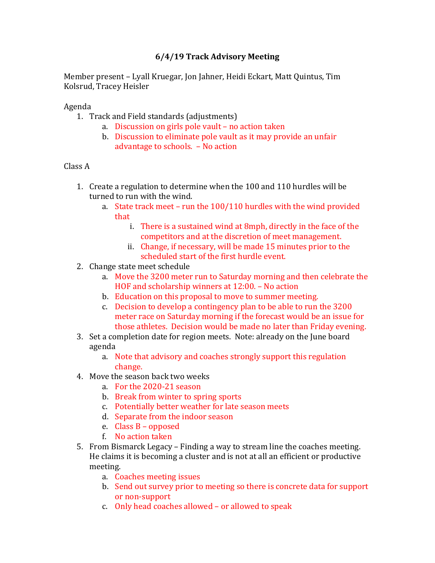## **6/4/19 Track Advisory Meeting**

Member present - Lyall Kruegar, Jon Jahner, Heidi Eckart, Matt Quintus, Tim Kolsrud, Tracey Heisler

Agenda

- 1. Track and Field standards (adjustments)
	- a. Discussion on girls pole vault no action taken
	- b. Discussion to eliminate pole vault as it may provide an unfair advantage to schools. - No action

## Class A

- 1. Create a regulation to determine when the 100 and 110 hurdles will be turned to run with the wind.
	- a. State track meet run the  $100/110$  hurdles with the wind provided that
		- i. There is a sustained wind at 8mph, directly in the face of the competitors and at the discretion of meet management.
		- ii. Change, if necessary, will be made 15 minutes prior to the scheduled start of the first hurdle event.
- 2. Change state meet schedule
	- a. Move the 3200 meter run to Saturday morning and then celebrate the HOF and scholarship winners at  $12:00$ . – No action
	- b. Education on this proposal to move to summer meeting.
	- c. Decision to develop a contingency plan to be able to run the 3200 meter race on Saturday morning if the forecast would be an issue for those athletes. Decision would be made no later than Friday evening.
- 3. Set a completion date for region meets. Note: already on the June board agenda
	- a. Note that advisory and coaches strongly support this regulation change.
- 4. Move the season back two weeks
	- a. For the 2020-21 season
	- b. Break from winter to spring sports
	- c. Potentially better weather for late season meets
	- d. Separate from the indoor season
	- e. Class  $B$  opposed
	- f. No action taken
- 5. From Bismarck Legacy Finding a way to stream line the coaches meeting. He claims it is becoming a cluster and is not at all an efficient or productive meeting.
	- a. Coaches meeting issues
	- b. Send out survey prior to meeting so there is concrete data for support or non-support
	- c. Only head coaches allowed  $-$  or allowed to speak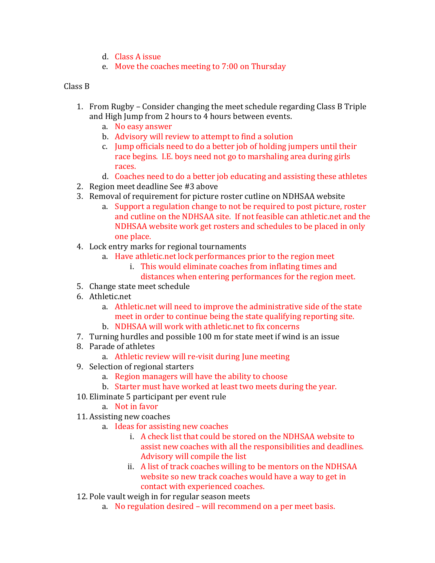- d. Class A issue
- e. Move the coaches meeting to 7:00 on Thursday

## Class **B**

- 1. From Rugby Consider changing the meet schedule regarding Class B Triple and High Jump from 2 hours to 4 hours between events.
	- a. No easy answer
	- b. Advisory will review to attempt to find a solution
	- c. Jump officials need to do a better job of holding jumpers until their race begins. I.E. boys need not go to marshaling area during girls races.
	- d. Coaches need to do a better job educating and assisting these athletes
- 2. Region meet deadline See #3 above
- 3. Removal of requirement for picture roster cutline on NDHSAA website
	- a. Support a regulation change to not be required to post picture, roster and cutline on the NDHSAA site. If not feasible can athletic.net and the NDHSAA website work get rosters and schedules to be placed in only one place.
- 4. Lock entry marks for regional tournaments
	- a. Have athletic.net lock performances prior to the region meet
		- i. This would eliminate coaches from inflating times and distances when entering performances for the region meet.
- 5. Change state meet schedule
- 6. Athletic.net
	- a. Athletic.net will need to improve the administrative side of the state meet in order to continue being the state qualifying reporting site.
	- b. NDHSAA will work with athletic.net to fix concerns
- 7. Turning hurdles and possible 100 m for state meet if wind is an issue
- 8. Parade of athletes
	- a. Athletic review will re-visit during June meeting
- 9. Selection of regional starters
	- a. Region managers will have the ability to choose
	- b. Starter must have worked at least two meets during the year.
- 10. Eliminate 5 participant per event rule
	- a. Not in favor
- 11. Assisting new coaches
	- a. Ideas for assisting new coaches
		- i. A check list that could be stored on the NDHSAA website to assist new coaches with all the responsibilities and deadlines. Advisory will compile the list
		- ii. A list of track coaches willing to be mentors on the NDHSAA website so new track coaches would have a way to get in contact with experienced coaches.
- 12. Pole vault weigh in for regular season meets
	- a. No regulation desired will recommend on a per meet basis.